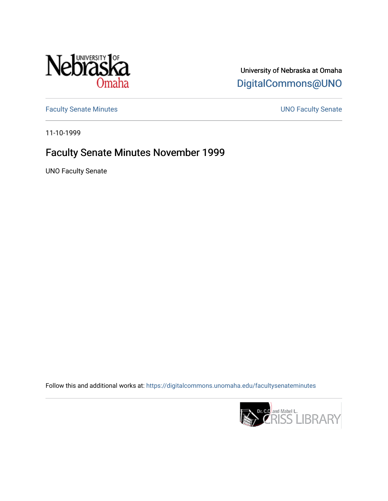

University of Nebraska at Omaha [DigitalCommons@UNO](https://digitalcommons.unomaha.edu/) 

[Faculty Senate Minutes](https://digitalcommons.unomaha.edu/facultysenateminutes) **Exercise Senate UNO Faculty Senate** 

11-10-1999

# Faculty Senate Minutes November 1999

UNO Faculty Senate

Follow this and additional works at: [https://digitalcommons.unomaha.edu/facultysenateminutes](https://digitalcommons.unomaha.edu/facultysenateminutes?utm_source=digitalcommons.unomaha.edu%2Ffacultysenateminutes%2F72&utm_medium=PDF&utm_campaign=PDFCoverPages) 

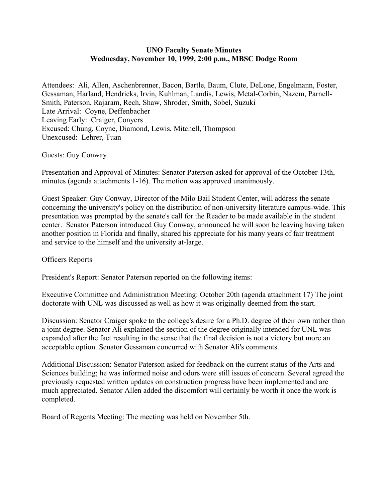#### **UNO Faculty Senate Minutes Wednesday, November 10, 1999, 2:00 p.m., MBSC Dodge Room**

Attendees: Ali, Allen, Aschenbrenner, Bacon, Bartle, Baum, Clute, DeLone, Engelmann, Foster, Gessaman, Harland, Hendricks, Irvin, Kuhlman, Landis, Lewis, Metal-Corbin, Nazem, Parnell-Smith, Paterson, Rajaram, Rech, Shaw, Shroder, Smith, Sobel, Suzuki Late Arrival: Coyne, Deffenbacher Leaving Early: Craiger, Conyers Excused: Chung, Coyne, Diamond, Lewis, Mitchell, Thompson Unexcused: Lehrer, Tuan

#### Guests: Guy Conway

Presentation and Approval of Minutes: Senator Paterson asked for approval of the October 13th, minutes (agenda attachments 1-16). The motion was approved unanimously.

Guest Speaker: Guy Conway, Director of the Milo Bail Student Center, will address the senate concerning the university's policy on the distribution of non-university literature campus-wide. This presentation was prompted by the senate's call for the Reader to be made available in the student center. Senator Paterson introduced Guy Conway, announced he will soon be leaving having taken another position in Florida and finally, shared his appreciate for his many years of fair treatment and service to the himself and the university at-large.

#### Officers Reports

President's Report: Senator Paterson reported on the following items:

Executive Committee and Administration Meeting: October 20th (agenda attachment 17) The joint doctorate with UNL was discussed as well as how it was originally deemed from the start.

Discussion: Senator Craiger spoke to the college's desire for a Ph.D. degree of their own rather than a joint degree. Senator Ali explained the section of the degree originally intended for UNL was expanded after the fact resulting in the sense that the final decision is not a victory but more an acceptable option. Senator Gessaman concurred with Senator Ali's comments.

Additional Discussion: Senator Paterson asked for feedback on the current status of the Arts and Sciences building; he was informed noise and odors were still issues of concern. Several agreed the previously requested written updates on construction progress have been implemented and are much appreciated. Senator Allen added the discomfort will certainly be worth it once the work is completed.

Board of Regents Meeting: The meeting was held on November 5th.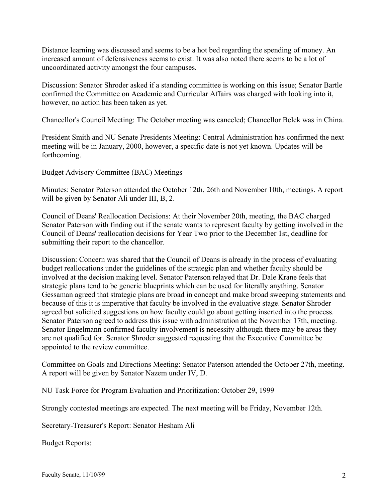Distance learning was discussed and seems to be a hot bed regarding the spending of money. An increased amount of defensiveness seems to exist. It was also noted there seems to be a lot of uncoordinated activity amongst the four campuses.

Discussion: Senator Shroder asked if a standing committee is working on this issue; Senator Bartle confirmed the Committee on Academic and Curricular Affairs was charged with looking into it, however, no action has been taken as yet.

Chancellor's Council Meeting: The October meeting was canceled; Chancellor Belck was in China.

President Smith and NU Senate Presidents Meeting: Central Administration has confirmed the next meeting will be in January, 2000, however, a specific date is not yet known. Updates will be forthcoming.

Budget Advisory Committee (BAC) Meetings

Minutes: Senator Paterson attended the October 12th, 26th and November 10th, meetings. A report will be given by Senator Ali under III, B, 2.

Council of Deans' Reallocation Decisions: At their November 20th, meeting, the BAC charged Senator Paterson with finding out if the senate wants to represent faculty by getting involved in the Council of Deans' reallocation decisions for Year Two prior to the December 1st, deadline for submitting their report to the chancellor.

Discussion: Concern was shared that the Council of Deans is already in the process of evaluating budget reallocations under the guidelines of the strategic plan and whether faculty should be involved at the decision making level. Senator Paterson relayed that Dr. Dale Krane feels that strategic plans tend to be generic blueprints which can be used for literally anything. Senator Gessaman agreed that strategic plans are broad in concept and make broad sweeping statements and because of this it is imperative that faculty be involved in the evaluative stage. Senator Shroder agreed but solicited suggestions on how faculty could go about getting inserted into the process. Senator Paterson agreed to address this issue with administration at the November 17th, meeting. Senator Engelmann confirmed faculty involvement is necessity although there may be areas they are not qualified for. Senator Shroder suggested requesting that the Executive Committee be appointed to the review committee.

Committee on Goals and Directions Meeting: Senator Paterson attended the October 27th, meeting. A report will be given by Senator Nazem under IV, D.

NU Task Force for Program Evaluation and Prioritization: October 29, 1999

Strongly contested meetings are expected. The next meeting will be Friday, November 12th.

Secretary-Treasurer's Report: Senator Hesham Ali

Budget Reports: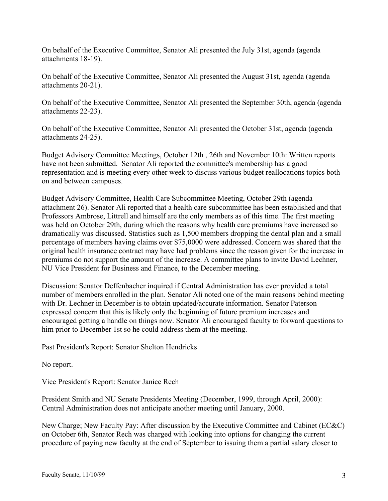On behalf of the Executive Committee, Senator Ali presented the July 31st, agenda (agenda attachments 18-19).

On behalf of the Executive Committee, Senator Ali presented the August 31st, agenda (agenda attachments 20-21).

On behalf of the Executive Committee, Senator Ali presented the September 30th, agenda (agenda attachments 22-23).

On behalf of the Executive Committee, Senator Ali presented the October 31st, agenda (agenda attachments 24-25).

Budget Advisory Committee Meetings, October 12th , 26th and November 10th: Written reports have not been submitted. Senator Ali reported the committee's membership has a good representation and is meeting every other week to discuss various budget reallocations topics both on and between campuses.

Budget Advisory Committee, Health Care Subcommittee Meeting, October 29th (agenda attachment 26). Senator Ali reported that a health care subcommittee has been established and that Professors Ambrose, Littrell and himself are the only members as of this time. The first meeting was held on October 29th, during which the reasons why health care premiums have increased so dramatically was discussed. Statistics such as 1,500 members dropping the dental plan and a small percentage of members having claims over \$75,0000 were addressed. Concern was shared that the original health insurance contract may have had problems since the reason given for the increase in premiums do not support the amount of the increase. A committee plans to invite David Lechner, NU Vice President for Business and Finance, to the December meeting.

Discussion: Senator Deffenbacher inquired if Central Administration has ever provided a total number of members enrolled in the plan. Senator Ali noted one of the main reasons behind meeting with Dr. Lechner in December is to obtain updated/accurate information. Senator Paterson expressed concern that this is likely only the beginning of future premium increases and encouraged getting a handle on things now. Senator Ali encouraged faculty to forward questions to him prior to December 1st so he could address them at the meeting.

Past President's Report: Senator Shelton Hendricks

No report.

Vice President's Report: Senator Janice Rech

President Smith and NU Senate Presidents Meeting (December, 1999, through April, 2000): Central Administration does not anticipate another meeting until January, 2000.

New Charge; New Faculty Pay: After discussion by the Executive Committee and Cabinet (EC&C) on October 6th, Senator Rech was charged with looking into options for changing the current procedure of paying new faculty at the end of September to issuing them a partial salary closer to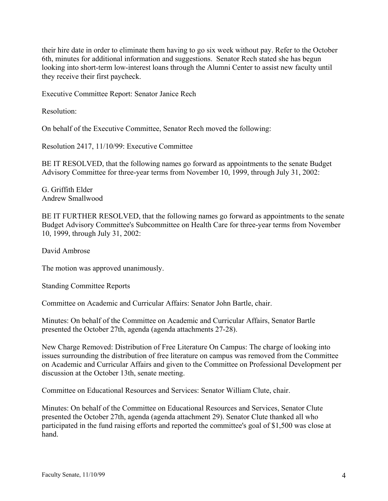their hire date in order to eliminate them having to go six week without pay. Refer to the October 6th, minutes for additional information and suggestions. Senator Rech stated she has begun looking into short-term low-interest loans through the Alumni Center to assist new faculty until they receive their first paycheck.

Executive Committee Report: Senator Janice Rech

Resolution:

On behalf of the Executive Committee, Senator Rech moved the following:

Resolution 2417, 11/10/99: Executive Committee

BE IT RESOLVED, that the following names go forward as appointments to the senate Budget Advisory Committee for three-year terms from November 10, 1999, through July 31, 2002:

G. Griffith Elder Andrew Smallwood

BE IT FURTHER RESOLVED, that the following names go forward as appointments to the senate Budget Advisory Committee's Subcommittee on Health Care for three-year terms from November 10, 1999, through July 31, 2002:

David Ambrose

The motion was approved unanimously.

Standing Committee Reports

Committee on Academic and Curricular Affairs: Senator John Bartle, chair.

Minutes: On behalf of the Committee on Academic and Curricular Affairs, Senator Bartle presented the October 27th, agenda (agenda attachments 27-28).

New Charge Removed: Distribution of Free Literature On Campus: The charge of looking into issues surrounding the distribution of free literature on campus was removed from the Committee on Academic and Curricular Affairs and given to the Committee on Professional Development per discussion at the October 13th, senate meeting.

Committee on Educational Resources and Services: Senator William Clute, chair.

Minutes: On behalf of the Committee on Educational Resources and Services, Senator Clute presented the October 27th, agenda (agenda attachment 29). Senator Clute thanked all who participated in the fund raising efforts and reported the committee's goal of \$1,500 was close at hand.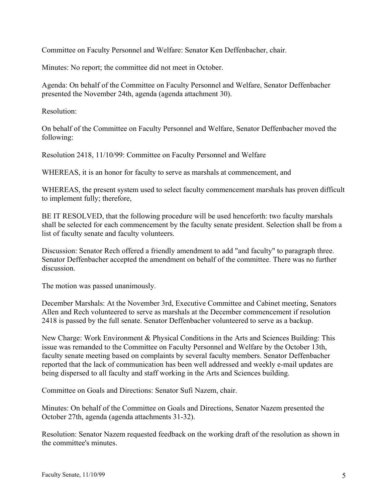Committee on Faculty Personnel and Welfare: Senator Ken Deffenbacher, chair.

Minutes: No report; the committee did not meet in October.

Agenda: On behalf of the Committee on Faculty Personnel and Welfare, Senator Deffenbacher presented the November 24th, agenda (agenda attachment 30).

Resolution:

On behalf of the Committee on Faculty Personnel and Welfare, Senator Deffenbacher moved the following:

Resolution 2418, 11/10/99: Committee on Faculty Personnel and Welfare

WHEREAS, it is an honor for faculty to serve as marshals at commencement, and

WHEREAS, the present system used to select faculty commencement marshals has proven difficult to implement fully; therefore,

BE IT RESOLVED, that the following procedure will be used henceforth: two faculty marshals shall be selected for each commencement by the faculty senate president. Selection shall be from a list of faculty senate and faculty volunteers.

Discussion: Senator Rech offered a friendly amendment to add "and faculty" to paragraph three. Senator Deffenbacher accepted the amendment on behalf of the committee. There was no further discussion.

The motion was passed unanimously.

December Marshals: At the November 3rd, Executive Committee and Cabinet meeting, Senators Allen and Rech volunteered to serve as marshals at the December commencement if resolution 2418 is passed by the full senate. Senator Deffenbacher volunteered to serve as a backup.

New Charge: Work Environment & Physical Conditions in the Arts and Sciences Building: This issue was remanded to the Committee on Faculty Personnel and Welfare by the October 13th, faculty senate meeting based on complaints by several faculty members. Senator Deffenbacher reported that the lack of communication has been well addressed and weekly e-mail updates are being dispersed to all faculty and staff working in the Arts and Sciences building.

Committee on Goals and Directions: Senator Sufi Nazem, chair.

Minutes: On behalf of the Committee on Goals and Directions, Senator Nazem presented the October 27th, agenda (agenda attachments 31-32).

Resolution: Senator Nazem requested feedback on the working draft of the resolution as shown in the committee's minutes.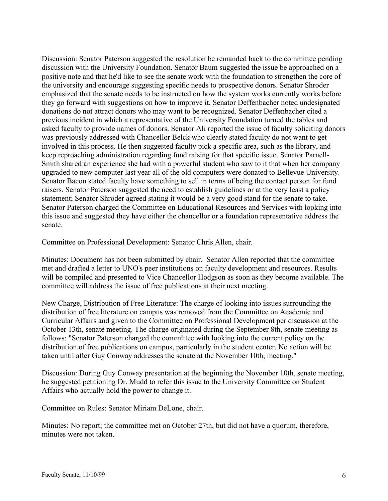Discussion: Senator Paterson suggested the resolution be remanded back to the committee pending discussion with the University Foundation. Senator Baum suggested the issue be approached on a positive note and that he'd like to see the senate work with the foundation to strengthen the core of the university and encourage suggesting specific needs to prospective donors. Senator Shroder emphasized that the senate needs to be instructed on how the system works currently works before they go forward with suggestions on how to improve it. Senator Deffenbacher noted undesignated donations do not attract donors who may want to be recognized. Senator Deffenbacher cited a previous incident in which a representative of the University Foundation turned the tables and asked faculty to provide names of donors. Senator Ali reported the issue of faculty soliciting donors was previously addressed with Chancellor Belck who clearly stated faculty do not want to get involved in this process. He then suggested faculty pick a specific area, such as the library, and keep reproaching administration regarding fund raising for that specific issue. Senator Parnell-Smith shared an experience she had with a powerful student who saw to it that when her company upgraded to new computer last year all of the old computers were donated to Bellevue University. Senator Bacon stated faculty have something to sell in terms of being the contact person for fund raisers. Senator Paterson suggested the need to establish guidelines or at the very least a policy statement; Senator Shroder agreed stating it would be a very good stand for the senate to take. Senator Paterson charged the Committee on Educational Resources and Services with looking into this issue and suggested they have either the chancellor or a foundation representative address the senate.

Committee on Professional Development: Senator Chris Allen, chair.

Minutes: Document has not been submitted by chair. Senator Allen reported that the committee met and drafted a letter to UNO's peer institutions on faculty development and resources. Results will be compiled and presented to Vice Chancellor Hodgson as soon as they become available. The committee will address the issue of free publications at their next meeting.

New Charge, Distribution of Free Literature: The charge of looking into issues surrounding the distribution of free literature on campus was removed from the Committee on Academic and Curricular Affairs and given to the Committee on Professional Development per discussion at the October 13th, senate meeting. The charge originated during the September 8th, senate meeting as follows: "Senator Paterson charged the committee with looking into the current policy on the distribution of free publications on campus, particularly in the student center. No action will be taken until after Guy Conway addresses the senate at the November 10th, meeting."

Discussion: During Guy Conway presentation at the beginning the November 10th, senate meeting, he suggested petitioning Dr. Mudd to refer this issue to the University Committee on Student Affairs who actually hold the power to change it.

Committee on Rules: Senator Miriam DeLone, chair.

Minutes: No report; the committee met on October 27th, but did not have a quorum, therefore, minutes were not taken.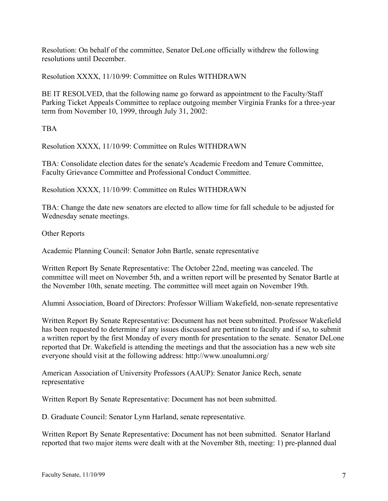Resolution: On behalf of the committee, Senator DeLone officially withdrew the following resolutions until December.

Resolution XXXX, 11/10/99: Committee on Rules WITHDRAWN

BE IT RESOLVED, that the following name go forward as appointment to the Faculty/Staff Parking Ticket Appeals Committee to replace outgoing member Virginia Franks for a three-year term from November 10, 1999, through July 31, 2002:

TBA

Resolution XXXX, 11/10/99: Committee on Rules WITHDRAWN

TBA: Consolidate election dates for the senate's Academic Freedom and Tenure Committee, Faculty Grievance Committee and Professional Conduct Committee.

Resolution XXXX, 11/10/99: Committee on Rules WITHDRAWN

TBA: Change the date new senators are elected to allow time for fall schedule to be adjusted for Wednesday senate meetings.

Other Reports

Academic Planning Council: Senator John Bartle, senate representative

Written Report By Senate Representative: The October 22nd, meeting was canceled. The committee will meet on November 5th, and a written report will be presented by Senator Bartle at the November 10th, senate meeting. The committee will meet again on November 19th.

Alumni Association, Board of Directors: Professor William Wakefield, non-senate representative

Written Report By Senate Representative: Document has not been submitted. Professor Wakefield has been requested to determine if any issues discussed are pertinent to faculty and if so, to submit a written report by the first Monday of every month for presentation to the senate. Senator DeLone reported that Dr. Wakefield is attending the meetings and that the association has a new web site everyone should visit at the following address: http://www.unoalumni.org/

American Association of University Professors (AAUP): Senator Janice Rech, senate representative

Written Report By Senate Representative: Document has not been submitted.

D. Graduate Council: Senator Lynn Harland, senate representative.

Written Report By Senate Representative: Document has not been submitted. Senator Harland reported that two major items were dealt with at the November 8th, meeting: 1) pre-planned dual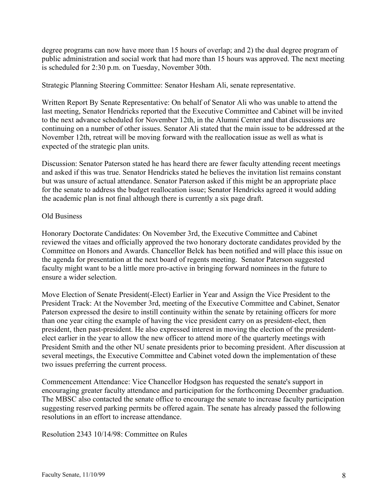degree programs can now have more than 15 hours of overlap; and 2) the dual degree program of public administration and social work that had more than 15 hours was approved. The next meeting is scheduled for 2:30 p.m. on Tuesday, November 30th.

Strategic Planning Steering Committee: Senator Hesham Ali, senate representative.

Written Report By Senate Representative: On behalf of Senator Ali who was unable to attend the last meeting, Senator Hendricks reported that the Executive Committee and Cabinet will be invited to the next advance scheduled for November 12th, in the Alumni Center and that discussions are continuing on a number of other issues. Senator Ali stated that the main issue to be addressed at the November 12th, retreat will be moving forward with the reallocation issue as well as what is expected of the strategic plan units.

Discussion: Senator Paterson stated he has heard there are fewer faculty attending recent meetings and asked if this was true. Senator Hendricks stated he believes the invitation list remains constant but was unsure of actual attendance. Senator Paterson asked if this might be an appropriate place for the senate to address the budget reallocation issue; Senator Hendricks agreed it would adding the academic plan is not final although there is currently a six page draft.

## Old Business

Honorary Doctorate Candidates: On November 3rd, the Executive Committee and Cabinet reviewed the vitaes and officially approved the two honorary doctorate candidates provided by the Committee on Honors and Awards. Chancellor Belck has been notified and will place this issue on the agenda for presentation at the next board of regents meeting. Senator Paterson suggested faculty might want to be a little more pro-active in bringing forward nominees in the future to ensure a wider selection.

Move Election of Senate President(-Elect) Earlier in Year and Assign the Vice President to the President Track: At the November 3rd, meeting of the Executive Committee and Cabinet, Senator Paterson expressed the desire to instill continuity within the senate by retaining officers for more than one year citing the example of having the vice president carry on as president-elect, then president, then past-president. He also expressed interest in moving the election of the presidentelect earlier in the year to allow the new officer to attend more of the quarterly meetings with President Smith and the other NU senate presidents prior to becoming president. After discussion at several meetings, the Executive Committee and Cabinet voted down the implementation of these two issues preferring the current process.

Commencement Attendance: Vice Chancellor Hodgson has requested the senate's support in encouraging greater faculty attendance and participation for the forthcoming December graduation. The MBSC also contacted the senate office to encourage the senate to increase faculty participation suggesting reserved parking permits be offered again. The senate has already passed the following resolutions in an effort to increase attendance.

Resolution 2343 10/14/98: Committee on Rules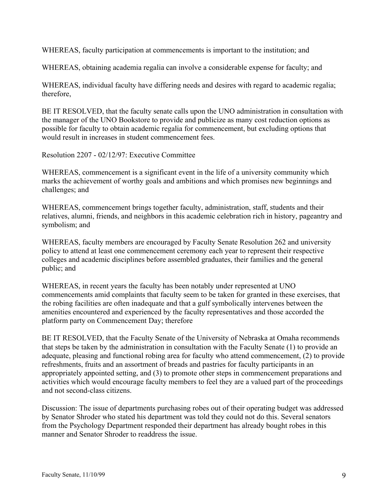WHEREAS, faculty participation at commencements is important to the institution; and

WHEREAS, obtaining academia regalia can involve a considerable expense for faculty; and

WHEREAS, individual faculty have differing needs and desires with regard to academic regalia; therefore,

BE IT RESOLVED, that the faculty senate calls upon the UNO administration in consultation with the manager of the UNO Bookstore to provide and publicize as many cost reduction options as possible for faculty to obtain academic regalia for commencement, but excluding options that would result in increases in student commencement fees.

Resolution 2207 - 02/12/97: Executive Committee

WHEREAS, commencement is a significant event in the life of a university community which marks the achievement of worthy goals and ambitions and which promises new beginnings and challenges; and

WHEREAS, commencement brings together faculty, administration, staff, students and their relatives, alumni, friends, and neighbors in this academic celebration rich in history, pageantry and symbolism; and

WHEREAS, faculty members are encouraged by Faculty Senate Resolution 262 and university policy to attend at least one commencement ceremony each year to represent their respective colleges and academic disciplines before assembled graduates, their families and the general public; and

WHEREAS, in recent years the faculty has been notably under represented at UNO commencements amid complaints that faculty seem to be taken for granted in these exercises, that the robing facilities are often inadequate and that a gulf symbolically intervenes between the amenities encountered and experienced by the faculty representatives and those accorded the platform party on Commencement Day; therefore

BE IT RESOLVED, that the Faculty Senate of the University of Nebraska at Omaha recommends that steps be taken by the administration in consultation with the Faculty Senate (1) to provide an adequate, pleasing and functional robing area for faculty who attend commencement, (2) to provide refreshments, fruits and an assortment of breads and pastries for faculty participants in an appropriately appointed setting, and (3) to promote other steps in commencement preparations and activities which would encourage faculty members to feel they are a valued part of the proceedings and not second-class citizens.

Discussion: The issue of departments purchasing robes out of their operating budget was addressed by Senator Shroder who stated his department was told they could not do this. Several senators from the Psychology Department responded their department has already bought robes in this manner and Senator Shroder to readdress the issue.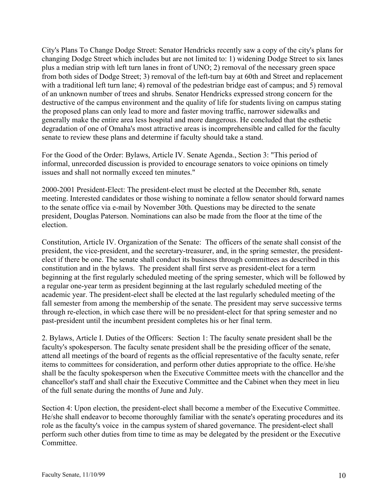City's Plans To Change Dodge Street: Senator Hendricks recently saw a copy of the city's plans for changing Dodge Street which includes but are not limited to: 1) widening Dodge Street to six lanes plus a median strip with left turn lanes in front of UNO; 2) removal of the necessary green space from both sides of Dodge Street; 3) removal of the left-turn bay at 60th and Street and replacement with a traditional left turn lane; 4) removal of the pedestrian bridge east of campus; and 5) removal of an unknown number of trees and shrubs. Senator Hendricks expressed strong concern for the destructive of the campus environment and the quality of life for students living on campus stating the proposed plans can only lead to more and faster moving traffic, narrower sidewalks and generally make the entire area less hospital and more dangerous. He concluded that the esthetic degradation of one of Omaha's most attractive areas is incomprehensible and called for the faculty senate to review these plans and determine if faculty should take a stand.

For the Good of the Order: Bylaws, Article IV. Senate Agenda., Section 3: "This period of informal, unrecorded discussion is provided to encourage senators to voice opinions on timely issues and shall not normally exceed ten minutes."

2000-2001 President-Elect: The president-elect must be elected at the December 8th, senate meeting. Interested candidates or those wishing to nominate a fellow senator should forward names to the senate office via e-mail by November 30th. Questions may be directed to the senate president, Douglas Paterson. Nominations can also be made from the floor at the time of the election.

Constitution, Article IV. Organization of the Senate: The officers of the senate shall consist of the president, the vice-president, and the secretary-treasurer, and, in the spring semester, the presidentelect if there be one. The senate shall conduct its business through committees as described in this constitution and in the bylaws. The president shall first serve as president-elect for a term beginning at the first regularly scheduled meeting of the spring semester, which will be followed by a regular one-year term as president beginning at the last regularly scheduled meeting of the academic year. The president-elect shall be elected at the last regularly scheduled meeting of the fall semester from among the membership of the senate. The president may serve successive terms through re-election, in which case there will be no president-elect for that spring semester and no past-president until the incumbent president completes his or her final term.

2. Bylaws, Article I. Duties of the Officers: Section 1: The faculty senate president shall be the faculty's spokesperson. The faculty senate president shall be the presiding officer of the senate, attend all meetings of the board of regents as the official representative of the faculty senate, refer items to committees for consideration, and perform other duties appropriate to the office. He/she shall be the faculty spokesperson when the Executive Committee meets with the chancellor and the chancellor's staff and shall chair the Executive Committee and the Cabinet when they meet in lieu of the full senate during the months of June and July.

Section 4: Upon election, the president-elect shall become a member of the Executive Committee. He/she shall endeavor to become thoroughly familiar with the senate's operating procedures and its role as the faculty's voice in the campus system of shared governance. The president-elect shall perform such other duties from time to time as may be delegated by the president or the Executive Committee.